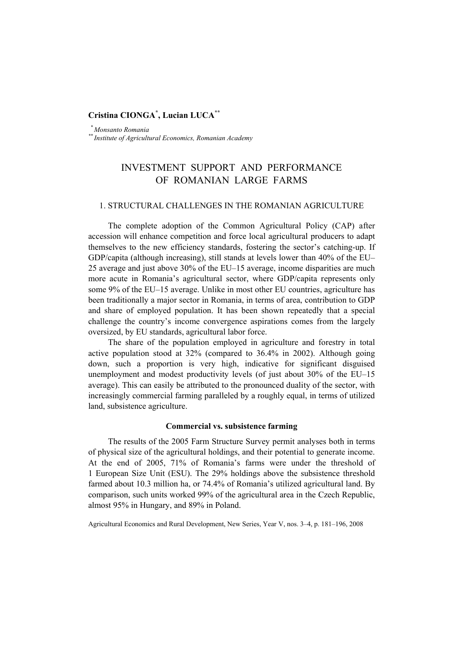# **Cristina CIONGA\* , Lucian LUCA\*\***

 *\* Monsanto Romania \*\* Institute of Agricultural Economics, Romanian Academy* 

# INVESTMENT SUPPORT AND PERFORMANCE OF ROMANIAN LARGE FARMS

## 1. STRUCTURAL CHALLENGES IN THE ROMANIAN AGRICULTURE

The complete adoption of the Common Agricultural Policy (CAP) after accession will enhance competition and force local agricultural producers to adapt themselves to the new efficiency standards, fostering the sector's catching-up. If GDP/capita (although increasing), still stands at levels lower than 40% of the EU– 25 average and just above 30% of the EU–15 average, income disparities are much more acute in Romania's agricultural sector, where GDP/capita represents only some 9% of the EU–15 average. Unlike in most other EU countries, agriculture has been traditionally a major sector in Romania, in terms of area, contribution to GDP and share of employed population. It has been shown repeatedly that a special challenge the country's income convergence aspirations comes from the largely oversized, by EU standards, agricultural labor force.

The share of the population employed in agriculture and forestry in total active population stood at 32% (compared to 36.4% in 2002). Although going down, such a proportion is very high, indicative for significant disguised unemployment and modest productivity levels (of just about 30% of the EU–15 average). This can easily be attributed to the pronounced duality of the sector, with increasingly commercial farming paralleled by a roughly equal, in terms of utilized land, subsistence agriculture.

#### **Commercial vs. subsistence farming**

The results of the 2005 Farm Structure Survey permit analyses both in terms of physical size of the agricultural holdings, and their potential to generate income. At the end of 2005, 71% of Romania's farms were under the threshold of 1 European Size Unit (ESU). The 29% holdings above the subsistence threshold farmed about 10.3 million ha, or 74.4% of Romania's utilized agricultural land. By comparison, such units worked 99% of the agricultural area in the Czech Republic, almost 95% in Hungary, and 89% in Poland.

Agricultural Economics and Rural Development, New Series, Year V, nos. 3–4, p. 181–196, 2008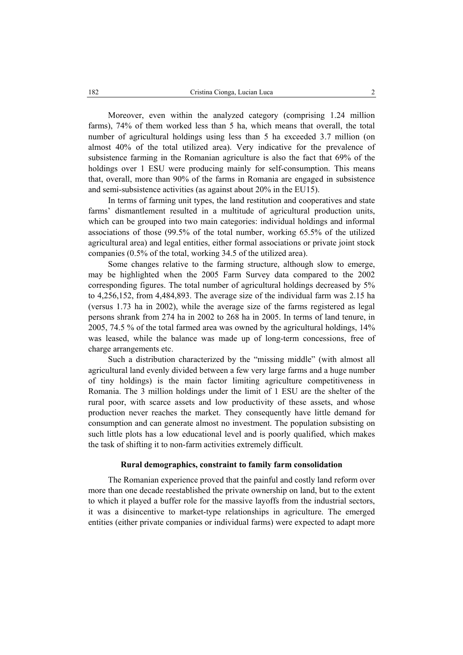Moreover, even within the analyzed category (comprising 1.24 million farms), 74% of them worked less than 5 ha, which means that overall, the total number of agricultural holdings using less than 5 ha exceeded 3.7 million (on almost 40% of the total utilized area). Very indicative for the prevalence of subsistence farming in the Romanian agriculture is also the fact that 69% of the holdings over 1 ESU were producing mainly for self-consumption. This means that, overall, more than 90% of the farms in Romania are engaged in subsistence and semi-subsistence activities (as against about 20% in the EU15).

In terms of farming unit types, the land restitution and cooperatives and state farms' dismantlement resulted in a multitude of agricultural production units, which can be grouped into two main categories: individual holdings and informal associations of those (99.5% of the total number, working 65.5% of the utilized agricultural area) and legal entities, either formal associations or private joint stock companies (0.5% of the total, working 34.5 of the utilized area).

Some changes relative to the farming structure, although slow to emerge, may be highlighted when the 2005 Farm Survey data compared to the 2002 corresponding figures. The total number of agricultural holdings decreased by 5% to 4,256,152, from 4,484,893. The average size of the individual farm was 2.15 ha (versus 1.73 ha in 2002), while the average size of the farms registered as legal persons shrank from 274 ha in 2002 to 268 ha in 2005. In terms of land tenure, in 2005, 74.5 % of the total farmed area was owned by the agricultural holdings, 14% was leased, while the balance was made up of long-term concessions, free of charge arrangements etc.

Such a distribution characterized by the "missing middle" (with almost all agricultural land evenly divided between a few very large farms and a huge number of tiny holdings) is the main factor limiting agriculture competitiveness in Romania. The 3 million holdings under the limit of 1 ESU are the shelter of the rural poor, with scarce assets and low productivity of these assets, and whose production never reaches the market. They consequently have little demand for consumption and can generate almost no investment. The population subsisting on such little plots has a low educational level and is poorly qualified, which makes the task of shifting it to non-farm activities extremely difficult.

### **Rural demographics, constraint to family farm consolidation**

The Romanian experience proved that the painful and costly land reform over more than one decade reestablished the private ownership on land, but to the extent to which it played a buffer role for the massive layoffs from the industrial sectors, it was a disincentive to market-type relationships in agriculture. The emerged entities (either private companies or individual farms) were expected to adapt more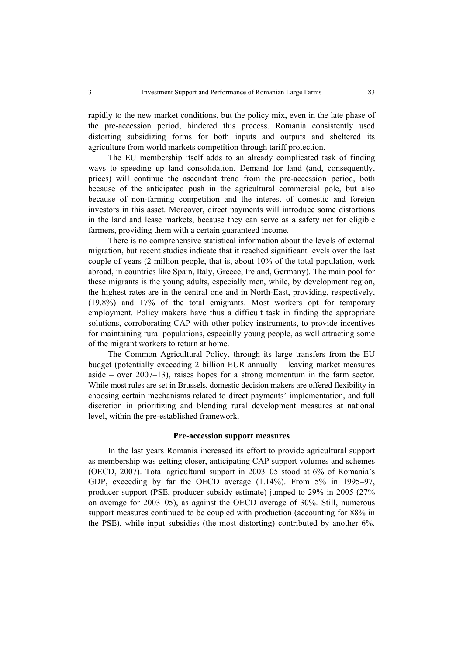rapidly to the new market conditions, but the policy mix, even in the late phase of the pre-accession period, hindered this process. Romania consistently used distorting subsidizing forms for both inputs and outputs and sheltered its agriculture from world markets competition through tariff protection.

The EU membership itself adds to an already complicated task of finding ways to speeding up land consolidation. Demand for land (and, consequently, prices) will continue the ascendant trend from the pre-accession period, both because of the anticipated push in the agricultural commercial pole, but also because of non-farming competition and the interest of domestic and foreign investors in this asset. Moreover, direct payments will introduce some distortions in the land and lease markets, because they can serve as a safety net for eligible farmers, providing them with a certain guaranteed income.

There is no comprehensive statistical information about the levels of external migration, but recent studies indicate that it reached significant levels over the last couple of years (2 million people, that is, about 10% of the total population, work abroad, in countries like Spain, Italy, Greece, Ireland, Germany). The main pool for these migrants is the young adults, especially men, while, by development region, the highest rates are in the central one and in North-East, providing, respectively, (19.8%) and 17% of the total emigrants. Most workers opt for temporary employment. Policy makers have thus a difficult task in finding the appropriate solutions, corroborating CAP with other policy instruments, to provide incentives for maintaining rural populations, especially young people, as well attracting some of the migrant workers to return at home.

The Common Agricultural Policy, through its large transfers from the EU budget (potentially exceeding 2 billion EUR annually – leaving market measures aside – over 2007–13), raises hopes for a strong momentum in the farm sector. While most rules are set in Brussels, domestic decision makers are offered flexibility in choosing certain mechanisms related to direct payments' implementation, and full discretion in prioritizing and blending rural development measures at national level, within the pre-established framework.

#### **Pre-accession support measures**

In the last years Romania increased its effort to provide agricultural support as membership was getting closer, anticipating CAP support volumes and schemes (OECD, 2007). Total agricultural support in 2003–05 stood at 6% of Romania's GDP, exceeding by far the OECD average  $(1.14\%)$ . From 5% in 1995–97, producer support (PSE, producer subsidy estimate) jumped to 29% in 2005 (27% on average for 2003–05), as against the OECD average of 30%. Still, numerous support measures continued to be coupled with production (accounting for 88% in the PSE), while input subsidies (the most distorting) contributed by another 6%.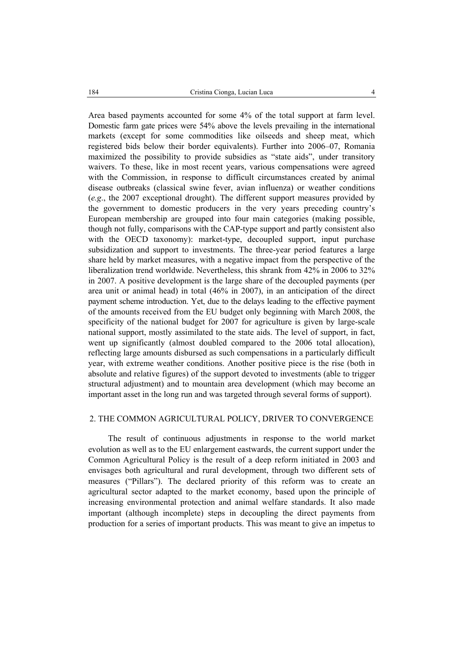Area based payments accounted for some 4% of the total support at farm level. Domestic farm gate prices were 54% above the levels prevailing in the international markets (except for some commodities like oilseeds and sheep meat, which registered bids below their border equivalents). Further into 2006–07, Romania maximized the possibility to provide subsidies as "state aids", under transitory waivers. To these, like in most recent years, various compensations were agreed with the Commission, in response to difficult circumstances created by animal disease outbreaks (classical swine fever, avian influenza) or weather conditions (*e.g*., the 2007 exceptional drought). The different support measures provided by the government to domestic producers in the very years preceding country's European membership are grouped into four main categories (making possible, though not fully, comparisons with the CAP-type support and partly consistent also with the OECD taxonomy): market-type, decoupled support, input purchase subsidization and support to investments. The three-year period features a large share held by market measures, with a negative impact from the perspective of the liberalization trend worldwide. Nevertheless, this shrank from 42% in 2006 to 32% in 2007. A positive development is the large share of the decoupled payments (per area unit or animal head) in total (46% in 2007), in an anticipation of the direct payment scheme introduction. Yet, due to the delays leading to the effective payment of the amounts received from the EU budget only beginning with March 2008, the specificity of the national budget for 2007 for agriculture is given by large-scale national support, mostly assimilated to the state aids. The level of support, in fact, went up significantly (almost doubled compared to the 2006 total allocation), reflecting large amounts disbursed as such compensations in a particularly difficult year, with extreme weather conditions. Another positive piece is the rise (both in absolute and relative figures) of the support devoted to investments (able to trigger structural adjustment) and to mountain area development (which may become an important asset in the long run and was targeted through several forms of support).

# 2. THE COMMON AGRICULTURAL POLICY, DRIVER TO CONVERGENCE

The result of continuous adjustments in response to the world market evolution as well as to the EU enlargement eastwards, the current support under the Common Agricultural Policy is the result of a deep reform initiated in 2003 and envisages both agricultural and rural development, through two different sets of measures ("Pillars"). The declared priority of this reform was to create an agricultural sector adapted to the market economy, based upon the principle of increasing environmental protection and animal welfare standards. It also made important (although incomplete) steps in decoupling the direct payments from production for a series of important products. This was meant to give an impetus to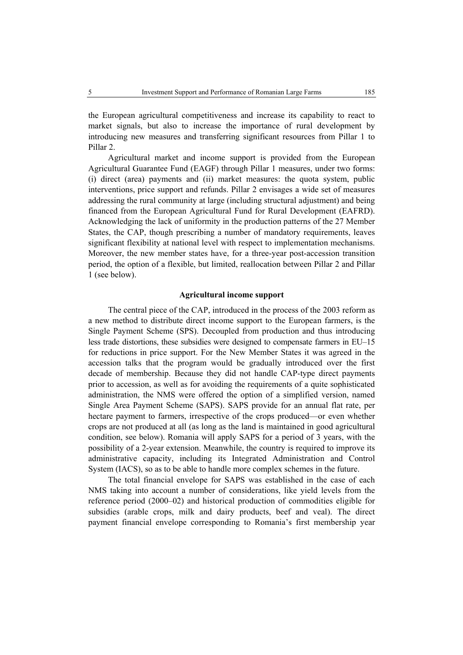the European agricultural competitiveness and increase its capability to react to market signals, but also to increase the importance of rural development by introducing new measures and transferring significant resources from Pillar 1 to Pillar 2.

Agricultural market and income support is provided from the European Agricultural Guarantee Fund (EAGF) through Pillar 1 measures, under two forms: (i) direct (area) payments and (ii) market measures: the quota system, public interventions, price support and refunds. Pillar 2 envisages a wide set of measures addressing the rural community at large (including structural adjustment) and being financed from the European Agricultural Fund for Rural Development (EAFRD). Acknowledging the lack of uniformity in the production patterns of the 27 Member States, the CAP, though prescribing a number of mandatory requirements, leaves significant flexibility at national level with respect to implementation mechanisms. Moreover, the new member states have, for a three-year post-accession transition period, the option of a flexible, but limited, reallocation between Pillar 2 and Pillar 1 (see below).

### **Agricultural income support**

The central piece of the CAP, introduced in the process of the 2003 reform as a new method to distribute direct income support to the European farmers, is the Single Payment Scheme (SPS). Decoupled from production and thus introducing less trade distortions, these subsidies were designed to compensate farmers in EU–15 for reductions in price support. For the New Member States it was agreed in the accession talks that the program would be gradually introduced over the first decade of membership. Because they did not handle CAP-type direct payments prior to accession, as well as for avoiding the requirements of a quite sophisticated administration, the NMS were offered the option of a simplified version, named Single Area Payment Scheme (SAPS). SAPS provide for an annual flat rate, per hectare payment to farmers, irrespective of the crops produced—or even whether crops are not produced at all (as long as the land is maintained in good agricultural condition, see below). Romania will apply SAPS for a period of 3 years, with the possibility of a 2-year extension. Meanwhile, the country is required to improve its administrative capacity, including its Integrated Administration and Control System (IACS), so as to be able to handle more complex schemes in the future.

The total financial envelope for SAPS was established in the case of each NMS taking into account a number of considerations, like yield levels from the reference period (2000–02) and historical production of commodities eligible for subsidies (arable crops, milk and dairy products, beef and veal). The direct payment financial envelope corresponding to Romania's first membership year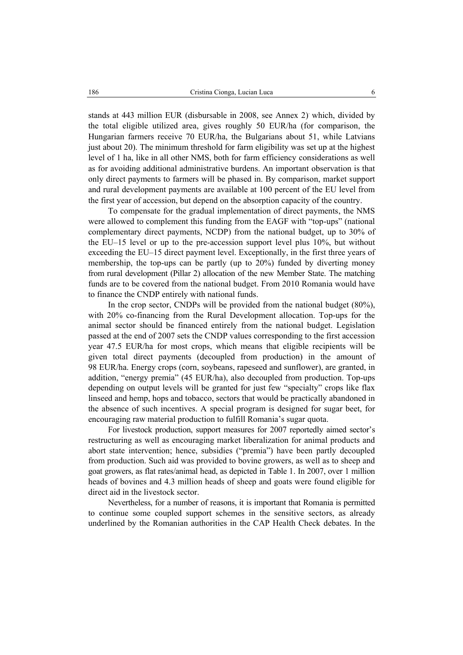stands at 443 million EUR (disbursable in 2008, see Annex 2) which, divided by the total eligible utilized area, gives roughly 50 EUR/ha (for comparison, the Hungarian farmers receive 70 EUR/ha, the Bulgarians about 51, while Latvians just about 20). The minimum threshold for farm eligibility was set up at the highest level of 1 ha, like in all other NMS, both for farm efficiency considerations as well as for avoiding additional administrative burdens. An important observation is that only direct payments to farmers will be phased in. By comparison, market support and rural development payments are available at 100 percent of the EU level from the first year of accession, but depend on the absorption capacity of the country.

To compensate for the gradual implementation of direct payments, the NMS were allowed to complement this funding from the EAGF with "top-ups" (national complementary direct payments, NCDP) from the national budget, up to 30% of the EU–15 level or up to the pre-accession support level plus 10%, but without exceeding the EU–15 direct payment level. Exceptionally, in the first three years of membership, the top-ups can be partly (up to 20%) funded by diverting money from rural development (Pillar 2) allocation of the new Member State. The matching funds are to be covered from the national budget. From 2010 Romania would have to finance the CNDP entirely with national funds.

In the crop sector, CNDPs will be provided from the national budget (80%), with 20% co-financing from the Rural Development allocation. Top-ups for the animal sector should be financed entirely from the national budget. Legislation passed at the end of 2007 sets the CNDP values corresponding to the first accession year 47.5 EUR/ha for most crops, which means that eligible recipients will be given total direct payments (decoupled from production) in the amount of 98 EUR/ha. Energy crops (corn, soybeans, rapeseed and sunflower), are granted, in addition, "energy premia" (45 EUR/ha), also decoupled from production. Top-ups depending on output levels will be granted for just few "specialty" crops like flax linseed and hemp, hops and tobacco, sectors that would be practically abandoned in the absence of such incentives. A special program is designed for sugar beet, for encouraging raw material production to fulfill Romania's sugar quota.

For livestock production, support measures for 2007 reportedly aimed sector's restructuring as well as encouraging market liberalization for animal products and abort state intervention; hence, subsidies ("premia") have been partly decoupled from production. Such aid was provided to bovine growers, as well as to sheep and goat growers, as flat rates/animal head, as depicted in Table 1. In 2007, over 1 million heads of bovines and 4.3 million heads of sheep and goats were found eligible for direct aid in the livestock sector.

Nevertheless, for a number of reasons, it is important that Romania is permitted to continue some coupled support schemes in the sensitive sectors, as already underlined by the Romanian authorities in the CAP Health Check debates. In the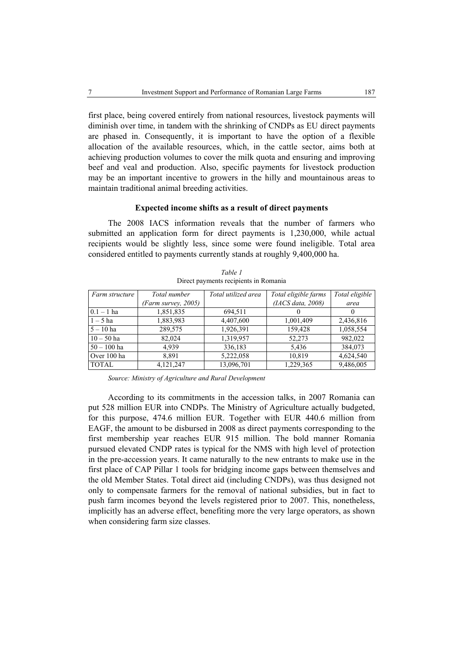first place, being covered entirely from national resources, livestock payments will diminish over time, in tandem with the shrinking of CNDPs as EU direct payments are phased in. Consequently, it is important to have the option of a flexible allocation of the available resources, which, in the cattle sector, aims both at achieving production volumes to cover the milk quota and ensuring and improving beef and veal and production. Also, specific payments for livestock production may be an important incentive to growers in the hilly and mountainous areas to maintain traditional animal breeding activities.

### **Expected income shifts as a result of direct payments**

The 2008 IACS information reveals that the number of farmers who submitted an application form for direct payments is 1,230,000, while actual recipients would be slightly less, since some were found ineligible. Total area considered entitled to payments currently stands at roughly 9,400,000 ha.

| Farm structure | Total number        | Total utilized area | Total eligible farms | Total eligible |
|----------------|---------------------|---------------------|----------------------|----------------|
|                | (Farm survey, 2005) |                     | (IACS data, 2008)    | area           |
| $0.1 - 1$ ha   | 1,851,835           | 694,511             |                      | $\theta$       |
| $1-5$ ha       | 1,883,983           | 4,407,600           | 1,001,409            | 2,436,816      |
| $5 - 10$ ha    | 289,575             | 1,926,391           | 159,428              | 1,058,554      |
| $10 - 50$ ha   | 82,024              | 1,319,957           | 52,273               | 982,022        |
| $50 - 100$ ha  | 4,939               | 336,183             | 5,436                | 384,073        |
| Over 100 ha    | 8,891               | 5,222,058           | 10,819               | 4,624,540      |
| <b>TOTAL</b>   | 4,121,247           | 13,096,701          | 1,229,365            | 9,486,005      |

*Table 1*  Direct payments recipients in Romania

*Source: Ministry of Agriculture and Rural Development* 

According to its commitments in the accession talks, in 2007 Romania can put 528 million EUR into CNDPs. The Ministry of Agriculture actually budgeted, for this purpose, 474.6 million EUR. Together with EUR 440.6 million from EAGF, the amount to be disbursed in 2008 as direct payments corresponding to the first membership year reaches EUR 915 million. The bold manner Romania pursued elevated CNDP rates is typical for the NMS with high level of protection in the pre-accession years. It came naturally to the new entrants to make use in the first place of CAP Pillar 1 tools for bridging income gaps between themselves and the old Member States. Total direct aid (including CNDPs), was thus designed not only to compensate farmers for the removal of national subsidies, but in fact to push farm incomes beyond the levels registered prior to 2007. This, nonetheless, implicitly has an adverse effect, benefiting more the very large operators, as shown when considering farm size classes.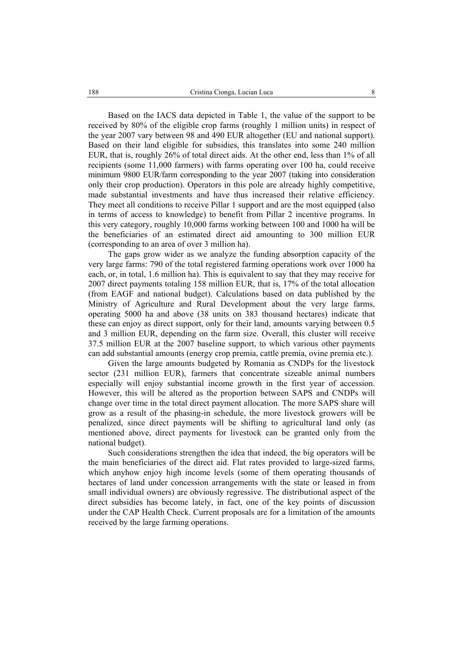Based on the IACS data depicted in Table 1, the value of the support to be received by 80% of the eligible crop farms (roughly 1 million units) in respect of the year 2007 vary between 98 and 490 EUR altogether (EU and national support). Based on their land eligible for subsidies, this translates into some 240 million EUR, that is, roughly 26% of total direct aids. At the other end, less than 1% of all recipients (some 11,000 farmers) with farms operating over 100 ha, could receive minimum 9800 EUR/farm corresponding to the year 2007 (taking into consideration only their crop production). Operators in this pole are already highly competitive, made substantial investments and have thus increased their relative efficiency. They meet all conditions to receive Pillar 1 support and are the most equipped (also in terms of access to knowledge) to benefit from Pillar 2 incentive programs. In this very category, roughly 10,000 farms working between 100 and 1000 ha will be the beneficiaries of an estimated direct aid amounting to 300 million EUR (corresponding to an area of over 3 million ha).

The gaps grow wider as we analyze the funding absorption capacity of the very large farms: 790 of the total registered farming operations work over 1000 ha each, or, in total, 1.6 million ha). This is equivalent to say that they may receive for 2007 direct payments totaling 158 million EUR, that is, 17% of the total allocation (from EAGF and national budget). Calculations based on data published by the Ministry of Agriculture and Rural Development about the very large farms, operating 5000 ha and above (38 units on 383 thousand hectares) indicate that these can enjoy as direct support, only for their land, amounts varying between 0.5 and 3 million EUR, depending on the farm size. Overall, this cluster will receive 37.5 million EUR at the 2007 baseline support, to which various other payments can add substantial amounts (energy crop premia, cattle premia, ovine premia etc.).

Given the large amounts budgeted by Romania as CNDPs for the livestock sector (231 million EUR), farmers that concentrate sizeable animal numbers especially will enjoy substantial income growth in the first year of accession. However, this will be altered as the proportion between SAPS and CNDPs will change over time in the total direct payment allocation. The more SAPS share will grow as a result of the phasing-in schedule, the more livestock growers will be penalized, since direct payments will be shifting to agricultural land only (as mentioned above, direct payments for livestock can be granted only from the national budget).

Such considerations strengthen the idea that indeed, the big operators will be the main beneficiaries of the direct aid. Flat rates provided to large-sized farms, which anyhow enjoy high income levels (some of them operating thousands of hectares of land under concession arrangements with the state or leased in from small individual owners) are obviously regressive. The distributional aspect of the direct subsidies has become lately, in fact, one of the key points of discussion under the CAP Health Check. Current proposals are for a limitation of the amounts received by the large farming operations.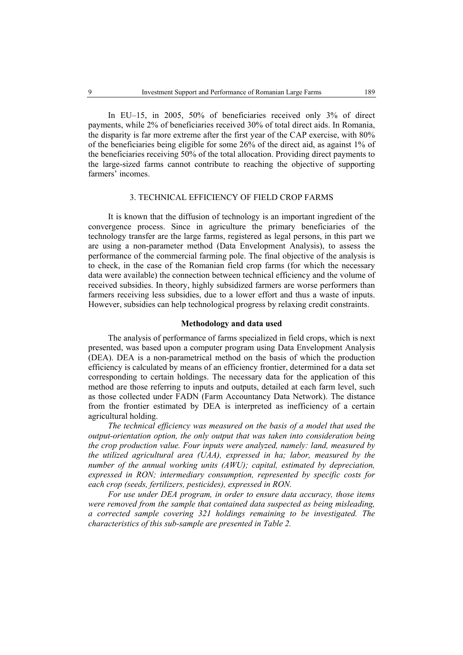In EU–15, in 2005, 50% of beneficiaries received only 3% of direct payments, while 2% of beneficiaries received 30% of total direct aids. In Romania, the disparity is far more extreme after the first year of the CAP exercise, with 80% of the beneficiaries being eligible for some 26% of the direct aid, as against 1% of the beneficiaries receiving 50% of the total allocation. Providing direct payments to the large-sized farms cannot contribute to reaching the objective of supporting farmers' incomes.

#### 3. TECHNICAL EFFICIENCY OF FIELD CROP FARMS

It is known that the diffusion of technology is an important ingredient of the convergence process. Since in agriculture the primary beneficiaries of the technology transfer are the large farms, registered as legal persons, in this part we are using a non-parameter method (Data Envelopment Analysis), to assess the performance of the commercial farming pole. The final objective of the analysis is to check, in the case of the Romanian field crop farms (for which the necessary data were available) the connection between technical efficiency and the volume of received subsidies. In theory, highly subsidized farmers are worse performers than farmers receiving less subsidies, due to a lower effort and thus a waste of inputs. However, subsidies can help technological progress by relaxing credit constraints.

# **Methodology and data used**

The analysis of performance of farms specialized in field crops, which is next presented, was based upon a computer program using Data Envelopment Analysis (DEA). DEA is a non-parametrical method on the basis of which the production efficiency is calculated by means of an efficiency frontier, determined for a data set corresponding to certain holdings. The necessary data for the application of this method are those referring to inputs and outputs, detailed at each farm level, such as those collected under FADN (Farm Accountancy Data Network). The distance from the frontier estimated by DEA is interpreted as inefficiency of a certain agricultural holding.

*The technical efficiency was measured on the basis of a model that used the output-orientation option, the only output that was taken into consideration being the crop production value. Four inputs were analyzed, namely: land, measured by the utilized agricultural area (UAA), expressed in ha; labor, measured by the number of the annual working units (AWU); capital, estimated by depreciation, expressed in RON; intermediary consumption, represented by specific costs for each crop (seeds, fertilizers, pesticides), expressed in RON.* 

*For use under DEA program, in order to ensure data accuracy, those items were removed from the sample that contained data suspected as being misleading, a corrected sample covering 321 holdings remaining to be investigated. The characteristics of this sub-sample are presented in Table 2.*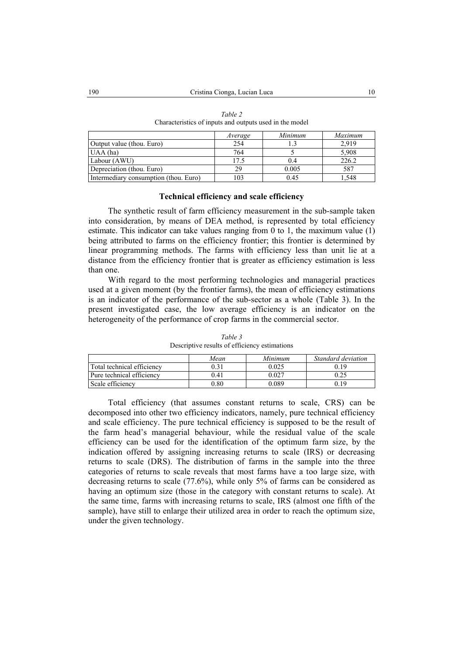|                                       | Average | Minimum | Maximum |
|---------------------------------------|---------|---------|---------|
| Output value (thou. Euro)             | 254     |         | 2.919   |
| $UAA$ (ha)                            | 764     |         | 5,908   |
| Labour (AWU)                          | 17.5    |         | 226.2   |
| Depreciation (thou. Euro)             | 29      | 0.005   | 587     |
| Intermediary consumption (thou. Euro) | 103     | 0.45    | .548    |

*Table 2*  Characteristics of inputs and outputs used in the model

## **Technical efficiency and scale efficiency**

The synthetic result of farm efficiency measurement in the sub-sample taken into consideration, by means of DEA method, is represented by total efficiency estimate. This indicator can take values ranging from 0 to 1, the maximum value  $(1)$ being attributed to farms on the efficiency frontier; this frontier is determined by linear programming methods. The farms with efficiency less than unit lie at a distance from the efficiency frontier that is greater as efficiency estimation is less than one.

With regard to the most performing technologies and managerial practices used at a given moment (by the frontier farms), the mean of efficiency estimations is an indicator of the performance of the sub-sector as a whole (Table 3). In the present investigated case, the low average efficiency is an indicator on the heterogeneity of the performance of crop farms in the commercial sector.

*Table 3*  Descriptive results of efficiency estimations

|                            | Mean     | Minimum | Standard deviation |
|----------------------------|----------|---------|--------------------|
| Total technical efficiency | 0.31     | 9.025   | 0.19               |
| Pure technical efficiency  | 0.41     | 0.027   | 0.25               |
| Scale efficiency           | ${0.80}$ | ን 089   | 0.19               |

Total efficiency (that assumes constant returns to scale, CRS) can be decomposed into other two efficiency indicators, namely, pure technical efficiency and scale efficiency. The pure technical efficiency is supposed to be the result of the farm head's managerial behaviour, while the residual value of the scale efficiency can be used for the identification of the optimum farm size, by the indication offered by assigning increasing returns to scale (IRS) or decreasing returns to scale (DRS). The distribution of farms in the sample into the three categories of returns to scale reveals that most farms have a too large size, with decreasing returns to scale (77.6%), while only 5% of farms can be considered as having an optimum size (those in the category with constant returns to scale). At the same time, farms with increasing returns to scale, IRS (almost one fifth of the sample), have still to enlarge their utilized area in order to reach the optimum size, under the given technology.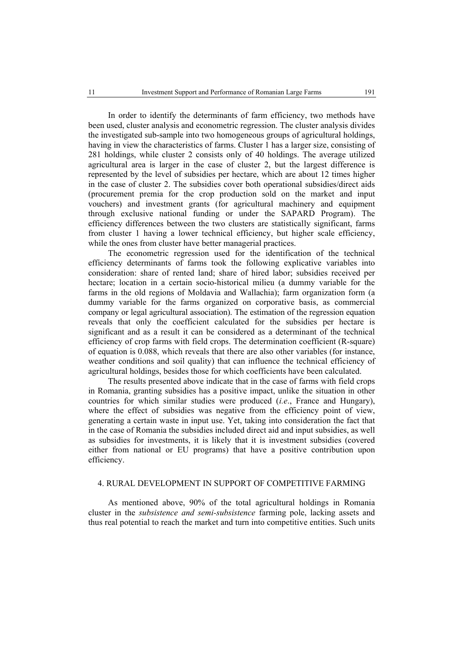In order to identify the determinants of farm efficiency, two methods have been used, cluster analysis and econometric regression. The cluster analysis divides the investigated sub-sample into two homogeneous groups of agricultural holdings, having in view the characteristics of farms. Cluster 1 has a larger size, consisting of 281 holdings, while cluster 2 consists only of 40 holdings. The average utilized agricultural area is larger in the case of cluster 2, but the largest difference is represented by the level of subsidies per hectare, which are about 12 times higher in the case of cluster 2. The subsidies cover both operational subsidies/direct aids (procurement premia for the crop production sold on the market and input vouchers) and investment grants (for agricultural machinery and equipment through exclusive national funding or under the SAPARD Program). The efficiency differences between the two clusters are statistically significant, farms from cluster 1 having a lower technical efficiency, but higher scale efficiency, while the ones from cluster have better managerial practices.

The econometric regression used for the identification of the technical efficiency determinants of farms took the following explicative variables into consideration: share of rented land; share of hired labor; subsidies received per hectare; location in a certain socio-historical milieu (a dummy variable for the farms in the old regions of Moldavia and Wallachia); farm organization form (a dummy variable for the farms organized on corporative basis, as commercial company or legal agricultural association). The estimation of the regression equation reveals that only the coefficient calculated for the subsidies per hectare is significant and as a result it can be considered as a determinant of the technical efficiency of crop farms with field crops. The determination coefficient (R-square) of equation is 0.088, which reveals that there are also other variables (for instance, weather conditions and soil quality) that can influence the technical efficiency of agricultural holdings, besides those for which coefficients have been calculated.

The results presented above indicate that in the case of farms with field crops in Romania, granting subsidies has a positive impact, unlike the situation in other countries for which similar studies were produced (*i.e*., France and Hungary), where the effect of subsidies was negative from the efficiency point of view, generating a certain waste in input use. Yet, taking into consideration the fact that in the case of Romania the subsidies included direct aid and input subsidies, as well as subsidies for investments, it is likely that it is investment subsidies (covered either from national or EU programs) that have a positive contribution upon efficiency.

# 4. RURAL DEVELOPMENT IN SUPPORT OF COMPETITIVE FARMING

As mentioned above, 90% of the total agricultural holdings in Romania cluster in the *subsistence and semi-subsistence* farming pole, lacking assets and thus real potential to reach the market and turn into competitive entities. Such units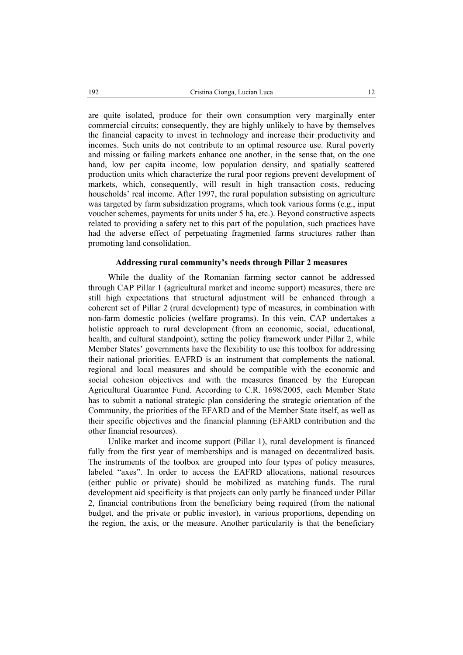are quite isolated, produce for their own consumption very marginally enter commercial circuits; consequently, they are highly unlikely to have by themselves the financial capacity to invest in technology and increase their productivity and incomes. Such units do not contribute to an optimal resource use. Rural poverty and missing or failing markets enhance one another, in the sense that, on the one hand, low per capita income, low population density, and spatially scattered production units which characterize the rural poor regions prevent development of markets, which, consequently, will result in high transaction costs, reducing households' real income. After 1997, the rural population subsisting on agriculture was targeted by farm subsidization programs, which took various forms (e.g., input voucher schemes, payments for units under 5 ha, etc.). Beyond constructive aspects related to providing a safety net to this part of the population, such practices have had the adverse effect of perpetuating fragmented farms structures rather than promoting land consolidation.

#### **Addressing rural community's needs through Pillar 2 measures**

While the duality of the Romanian farming sector cannot be addressed through CAP Pillar 1 (agricultural market and income support) measures, there are still high expectations that structural adjustment will be enhanced through a coherent set of Pillar 2 (rural development) type of measures, in combination with non-farm domestic policies (welfare programs). In this vein, CAP undertakes a holistic approach to rural development (from an economic, social, educational, health, and cultural standpoint), setting the policy framework under Pillar 2, while Member States' governments have the flexibility to use this toolbox for addressing their national priorities. EAFRD is an instrument that complements the national, regional and local measures and should be compatible with the economic and social cohesion objectives and with the measures financed by the European Agricultural Guarantee Fund. According to C.R. 1698/2005, each Member State has to submit a national strategic plan considering the strategic orientation of the Community, the priorities of the EFARD and of the Member State itself, as well as their specific objectives and the financial planning (EFARD contribution and the other financial resources).

Unlike market and income support (Pillar 1), rural development is financed fully from the first year of memberships and is managed on decentralized basis. The instruments of the toolbox are grouped into four types of policy measures, labeled "axes". In order to access the EAFRD allocations, national resources (either public or private) should be mobilized as matching funds. The rural development aid specificity is that projects can only partly be financed under Pillar 2, financial contributions from the beneficiary being required (from the national budget, and the private or public investor), in various proportions, depending on the region, the axis, or the measure. Another particularity is that the beneficiary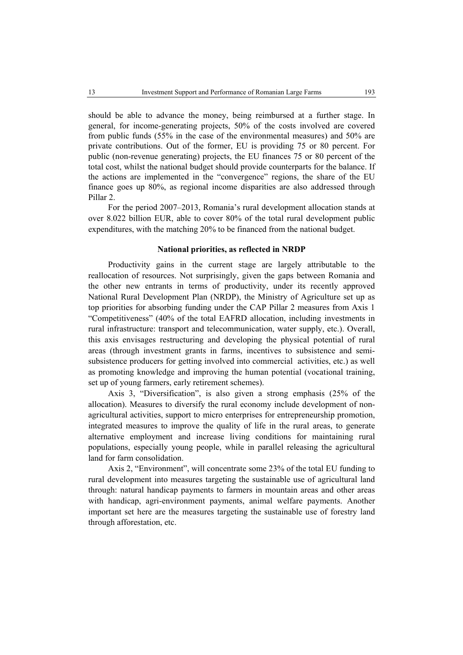should be able to advance the money, being reimbursed at a further stage. In general, for income-generating projects, 50% of the costs involved are covered from public funds (55% in the case of the environmental measures) and 50% are private contributions. Out of the former, EU is providing 75 or 80 percent. For public (non-revenue generating) projects, the EU finances 75 or 80 percent of the total cost, whilst the national budget should provide counterparts for the balance. If the actions are implemented in the "convergence" regions, the share of the EU finance goes up 80%, as regional income disparities are also addressed through Pillar 2.

For the period 2007–2013, Romania's rural development allocation stands at over 8.022 billion EUR, able to cover 80% of the total rural development public expenditures, with the matching 20% to be financed from the national budget.

#### **National priorities, as reflected in NRDP**

Productivity gains in the current stage are largely attributable to the reallocation of resources. Not surprisingly, given the gaps between Romania and the other new entrants in terms of productivity, under its recently approved National Rural Development Plan (NRDP), the Ministry of Agriculture set up as top priorities for absorbing funding under the CAP Pillar 2 measures from Axis 1 "Competitiveness" (40% of the total EAFRD allocation, including investments in rural infrastructure: transport and telecommunication, water supply, etc.). Overall, this axis envisages restructuring and developing the physical potential of rural areas (through investment grants in farms, incentives to subsistence and semisubsistence producers for getting involved into commercial activities, etc.) as well as promoting knowledge and improving the human potential (vocational training, set up of young farmers, early retirement schemes).

Axis 3, "Diversification", is also given a strong emphasis (25% of the allocation). Measures to diversify the rural economy include development of nonagricultural activities, support to micro enterprises for entrepreneurship promotion, integrated measures to improve the quality of life in the rural areas, to generate alternative employment and increase living conditions for maintaining rural populations, especially young people, while in parallel releasing the agricultural land for farm consolidation.

Axis 2, "Environment", will concentrate some 23% of the total EU funding to rural development into measures targeting the sustainable use of agricultural land through: natural handicap payments to farmers in mountain areas and other areas with handicap, agri-environment payments, animal welfare payments. Another important set here are the measures targeting the sustainable use of forestry land through afforestation, etc.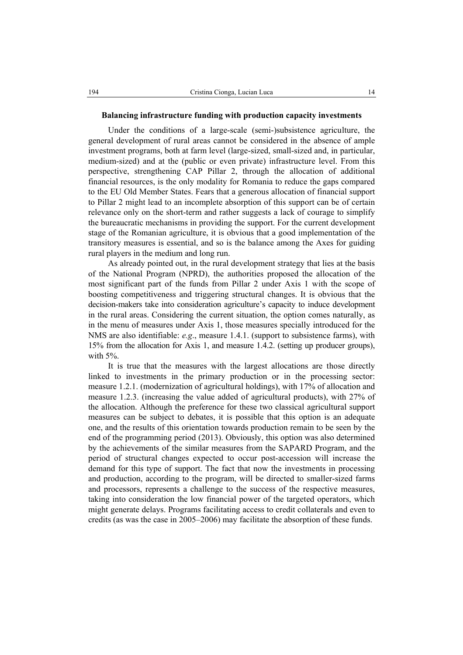#### **Balancing infrastructure funding with production capacity investments**

Under the conditions of a large-scale (semi-)subsistence agriculture, the general development of rural areas cannot be considered in the absence of ample investment programs, both at farm level (large-sized, small-sized and, in particular, medium-sized) and at the (public or even private) infrastructure level. From this perspective, strengthening CAP Pillar 2, through the allocation of additional financial resources, is the only modality for Romania to reduce the gaps compared to the EU Old Member States. Fears that a generous allocation of financial support to Pillar 2 might lead to an incomplete absorption of this support can be of certain relevance only on the short-term and rather suggests a lack of courage to simplify the bureaucratic mechanisms in providing the support. For the current development stage of the Romanian agriculture, it is obvious that a good implementation of the transitory measures is essential, and so is the balance among the Axes for guiding rural players in the medium and long run.

As already pointed out, in the rural development strategy that lies at the basis of the National Program (NPRD), the authorities proposed the allocation of the most significant part of the funds from Pillar 2 under Axis 1 with the scope of boosting competitiveness and triggering structural changes. It is obvious that the decision-makers take into consideration agriculture's capacity to induce development in the rural areas. Considering the current situation, the option comes naturally, as in the menu of measures under Axis 1, those measures specially introduced for the NMS are also identifiable: *e.g*., measure 1.4.1. (support to subsistence farms), with 15% from the allocation for Axis 1, and measure 1.4.2. (setting up producer groups), with 5%.

It is true that the measures with the largest allocations are those directly linked to investments in the primary production or in the processing sector: measure 1.2.1. (modernization of agricultural holdings), with 17% of allocation and measure 1.2.3. (increasing the value added of agricultural products), with 27% of the allocation. Although the preference for these two classical agricultural support measures can be subject to debates, it is possible that this option is an adequate one, and the results of this orientation towards production remain to be seen by the end of the programming period (2013). Obviously, this option was also determined by the achievements of the similar measures from the SAPARD Program, and the period of structural changes expected to occur post-accession will increase the demand for this type of support. The fact that now the investments in processing and production, according to the program, will be directed to smaller-sized farms and processors, represents a challenge to the success of the respective measures, taking into consideration the low financial power of the targeted operators, which might generate delays. Programs facilitating access to credit collaterals and even to credits (as was the case in 2005–2006) may facilitate the absorption of these funds.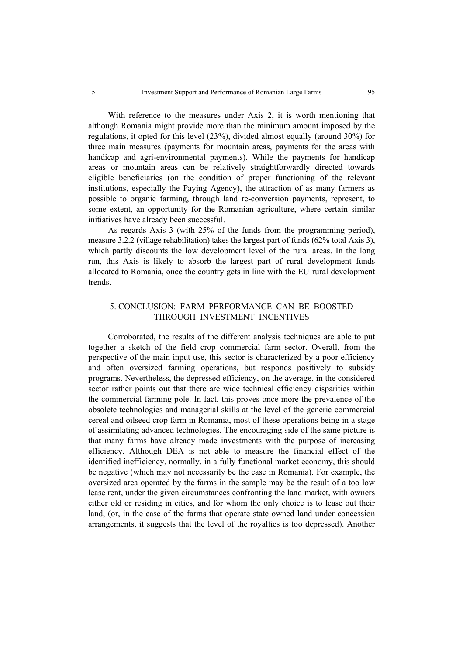With reference to the measures under Axis 2, it is worth mentioning that although Romania might provide more than the minimum amount imposed by the regulations, it opted for this level (23%), divided almost equally (around 30%) for three main measures (payments for mountain areas, payments for the areas with handicap and agri-environmental payments). While the payments for handicap areas or mountain areas can be relatively straightforwardly directed towards eligible beneficiaries (on the condition of proper functioning of the relevant institutions, especially the Paying Agency), the attraction of as many farmers as possible to organic farming, through land re-conversion payments, represent, to some extent, an opportunity for the Romanian agriculture, where certain similar initiatives have already been successful.

As regards Axis 3 (with 25% of the funds from the programming period), measure 3.2.2 (village rehabilitation) takes the largest part of funds (62% total Axis 3), which partly discounts the low development level of the rural areas. In the long run, this Axis is likely to absorb the largest part of rural development funds allocated to Romania, once the country gets in line with the EU rural development trends.

# 5. CONCLUSION: FARM PERFORMANCE CAN BE BOOSTED THROUGH INVESTMENT INCENTIVES

Corroborated, the results of the different analysis techniques are able to put together a sketch of the field crop commercial farm sector. Overall, from the perspective of the main input use, this sector is characterized by a poor efficiency and often oversized farming operations, but responds positively to subsidy programs. Nevertheless, the depressed efficiency, on the average, in the considered sector rather points out that there are wide technical efficiency disparities within the commercial farming pole. In fact, this proves once more the prevalence of the obsolete technologies and managerial skills at the level of the generic commercial cereal and oilseed crop farm in Romania, most of these operations being in a stage of assimilating advanced technologies. The encouraging side of the same picture is that many farms have already made investments with the purpose of increasing efficiency. Although DEA is not able to measure the financial effect of the identified inefficiency, normally, in a fully functional market economy, this should be negative (which may not necessarily be the case in Romania). For example, the oversized area operated by the farms in the sample may be the result of a too low lease rent, under the given circumstances confronting the land market, with owners either old or residing in cities, and for whom the only choice is to lease out their land, (or, in the case of the farms that operate state owned land under concession arrangements, it suggests that the level of the royalties is too depressed). Another